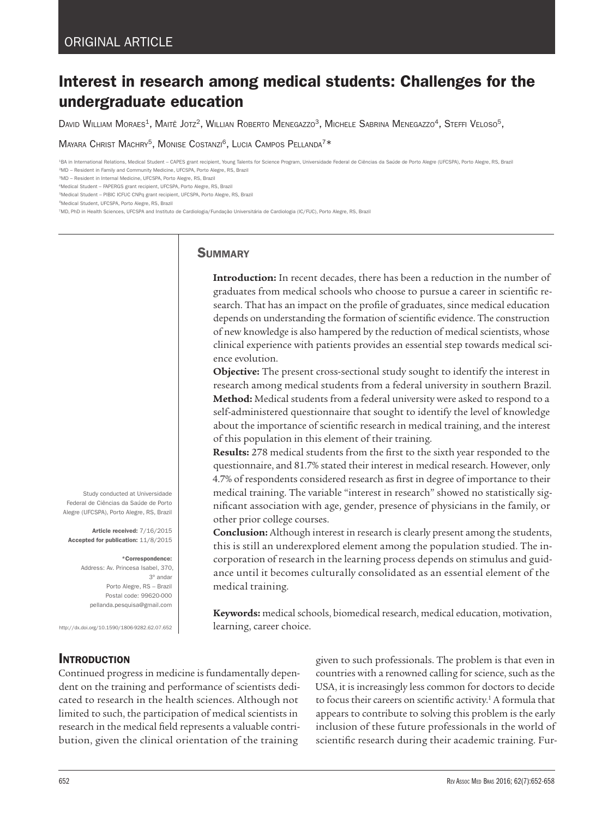# Interest in research among medical students: Challenges for the undergraduate education

David William Moraes<sup>1</sup>, Maitê Jotz<sup>2</sup>, Willian Roberto Menegazzo<sup>3</sup>, Michele Sabrina Menegazzo<sup>4</sup>, Steffi Veloso<sup>5</sup>,

MAYARA CHRIST MACHRY<sup>5</sup>, MONISE COSTANZI<sup>6</sup>, LUCIA CAMPOS PELLANDA<sup>7\*</sup>

1BA in International Relations, Medical Student – CAPES grant recipient, Young Talents for Science Program, Universidade Federal de Ciências da Saúde de Porto Alegre (UFCSPA), Porto Alegre, RS, Brazil 2MD – Resident in Family and Community Medicine, UFCSPA, Porto Alegre, RS, Brazil

3MD – Resident in Internal Medicine, UFCSPA, Porto Alegre, RS, Brazil

4Medical Student – FAPERGS grant recipient, UFCSPA, Porto Alegre, RS, Brazil

5Medical Student – PIBIC ICFUC CNPq grant recipient, UFCSPA, Porto Alegre, RS, Brazil

<sup>6</sup>Medical Student, UFCSPA, Porto Alegre, RS, Brazil

7MD, PhD in Health Sciences, UFCSPA and Instituto de Cardiologia/Fundação Universitária de Cardiologia (IC/FUC), Porto Alegre, RS, Brazil

## **SUMMARY**

**Introduction:** In recent decades, there has been a reduction in the number of graduates from medical schools who choose to pursue a career in scientific research. That has an impact on the profile of graduates, since medical education depends on understanding the formation of scientific evidence. The construction of new knowledge is also hampered by the reduction of medical scientists, whose clinical experience with patients provides an essential step towards medical science evolution.

**Objective:** The present cross-sectional study sought to identify the interest in research among medical students from a federal university in southern Brazil. **Method:** Medical students from a federal university were asked to respond to a self-administered questionnaire that sought to identify the level of knowledge about the importance of scientific research in medical training, and the interest of this population in this element of their training.

**Results:** 278 medical students from the first to the sixth year responded to the questionnaire, and 81.7% stated their interest in medical research. However, only 4.7% of respondents considered research as first in degree of importance to their medical training. The variable "interest in research" showed no statistically significant association with age, gender, presence of physicians in the family, or other prior college courses.

**Conclusion:** Although interest in research is clearly present among the students, this is still an underexplored element among the population studied. The incorporation of research in the learning process depends on stimulus and guidance until it becomes culturally consolidated as an essential element of the medical training.

**Keywords:** medical schools, biomedical research, medical education, motivation, learning, career choice.

Address: Av. Princesa Isabel, 370, 3º andar Porto Alegre, RS – Brazil

Study conducted at Universidade Federal de Ciências da Saúde de Porto Alegre (UFCSPA), Porto Alegre, RS, Brazil

Article received: 7/16/2015 Accepted for publication: 11/8/2015

\*Correspondence:

Postal code: 99620-000 pellanda.pesquisa@gmail.com

http://dx.doi.org/10.1590/1806-9282.62.07.652

# **INTRODUCTION**

Continued progress in medicine is fundamentally dependent on the training and performance of scientists dedicated to research in the health sciences. Although not limited to such, the participation of medical scientists in research in the medical field represents a valuable contribution, given the clinical orientation of the training

given to such professionals. The problem is that even in countries with a renowned calling for science, such as the USA, it is increasingly less common for doctors to decide to focus their careers on scientific activity.<sup>1</sup> A formula that appears to contribute to solving this problem is the early inclusion of these future professionals in the world of scientific research during their academic training. Fur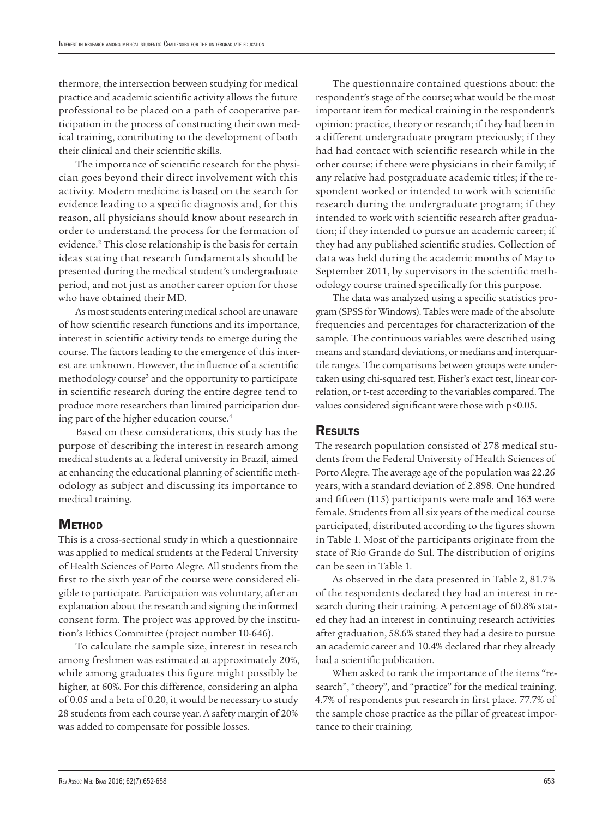thermore, the intersection between studying for medical practice and academic scientific activity allows the future professional to be placed on a path of cooperative participation in the process of constructing their own medical training, contributing to the development of both their clinical and their scientific skills.

The importance of scientific research for the physician goes beyond their direct involvement with this activity. Modern medicine is based on the search for evidence leading to a specific diagnosis and, for this reason, all physicians should know about research in order to understand the process for the formation of evidence.2 This close relationship is the basis for certain ideas stating that research fundamentals should be presented during the medical student's undergraduate period, and not just as another career option for those who have obtained their MD.

As most students entering medical school are unaware of how scientific research functions and its importance, interest in scientific activity tends to emerge during the course. The factors leading to the emergence of this interest are unknown. However, the influence of a scientific methodology course<sup>3</sup> and the opportunity to participate in scientific research during the entire degree tend to produce more researchers than limited participation during part of the higher education course.<sup>4</sup>

Based on these considerations, this study has the purpose of describing the interest in research among medical students at a federal university in Brazil, aimed at enhancing the educational planning of scientific methodology as subject and discussing its importance to medical training.

# **METHOD**

This is a cross-sectional study in which a questionnaire was applied to medical students at the Federal University of Health Sciences of Porto Alegre. All students from the first to the sixth year of the course were considered eligible to participate. Participation was voluntary, after an explanation about the research and signing the informed consent form. The project was approved by the institution's Ethics Committee (project number 10-646).

To calculate the sample size, interest in research among freshmen was estimated at approximately 20%, while among graduates this figure might possibly be higher, at 60%. For this difference, considering an alpha of 0.05 and a beta of 0.20, it would be necessary to study 28 students from each course year. A safety margin of 20% was added to compensate for possible losses.

The questionnaire contained questions about: the respondent's stage of the course; what would be the most important item for medical training in the respondent's opinion: practice, theory or research; if they had been in a different undergraduate program previously; if they had had contact with scientific research while in the other course; if there were physicians in their family; if any relative had postgraduate academic titles; if the respondent worked or intended to work with scientific research during the undergraduate program; if they intended to work with scientific research after graduation; if they intended to pursue an academic career; if they had any published scientific studies. Collection of data was held during the academic months of May to September 2011, by supervisors in the scientific methodology course trained specifically for this purpose.

The data was analyzed using a specific statistics program (SPSS for Windows). Tables were made of the absolute frequencies and percentages for characterization of the sample. The continuous variables were described using means and standard deviations, or medians and interquartile ranges. The comparisons between groups were undertaken using chi-squared test, Fisher's exact test, linear correlation, or t-test according to the variables compared. The values considered significant were those with p<0.05.

## **RESULTS**

The research population consisted of 278 medical students from the Federal University of Health Sciences of Porto Alegre. The average age of the population was 22.26 years, with a standard deviation of 2.898. One hundred and fifteen (115) participants were male and 163 were female. Students from all six years of the medical course participated, distributed according to the figures shown in Table 1. Most of the participants originate from the state of Rio Grande do Sul. The distribution of origins can be seen in Table 1.

As observed in the data presented in Table 2, 81.7% of the respondents declared they had an interest in research during their training. A percentage of 60.8% stated they had an interest in continuing research activities after graduation, 58.6% stated they had a desire to pursue an academic career and 10.4% declared that they already had a scientific publication.

When asked to rank the importance of the items "research", "theory", and "practice" for the medical training, 4.7% of respondents put research in first place. 77.7% of the sample chose practice as the pillar of greatest importance to their training.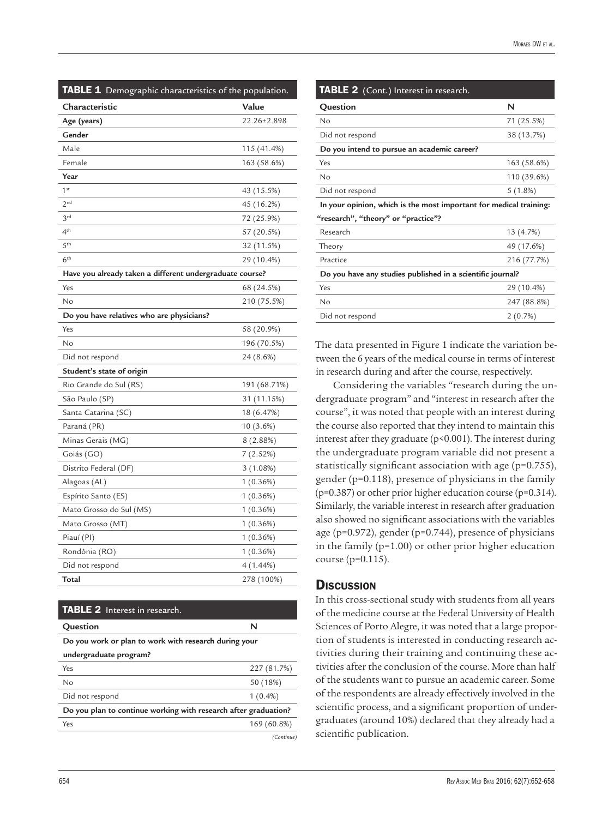| TABLE 1 Demographic characteristics of the population.   |              |  |
|----------------------------------------------------------|--------------|--|
| Characteristic                                           | Value        |  |
| Age (years)                                              | 22.26±2.898  |  |
| Gender                                                   |              |  |
| Male                                                     | 115 (41.4%)  |  |
| Female                                                   | 163 (58.6%)  |  |
| Year                                                     |              |  |
| 1 <sup>st</sup>                                          | 43 (15.5%)   |  |
| 2 <sup>nd</sup>                                          | 45 (16.2%)   |  |
| 3 <sup>rd</sup>                                          | 72 (25.9%)   |  |
| 4 <sup>th</sup>                                          | 57 (20.5%)   |  |
| 5 <sup>th</sup>                                          | 32 (11.5%)   |  |
| 6 <sup>th</sup>                                          | 29 (10.4%)   |  |
| Have you already taken a different undergraduate course? |              |  |
| Yes                                                      | 68 (24.5%)   |  |
| No                                                       | 210 (75.5%)  |  |
| Do you have relatives who are physicians?                |              |  |
| Yes                                                      | 58 (20.9%)   |  |
| No                                                       | 196 (70.5%)  |  |
| Did not respond                                          | 24 (8.6%)    |  |
| Student's state of origin                                |              |  |
| Rio Grande do Sul (RS)                                   | 191 (68.71%) |  |
| São Paulo (SP)                                           | 31 (11.15%)  |  |
| Santa Catarina (SC)                                      | 18 (6.47%)   |  |
| Paraná (PR)                                              | 10 (3.6%)    |  |
| Minas Gerais (MG)                                        | 8 (2.88%)    |  |
| Goiás (GO)                                               | 7(2.52%)     |  |
| Distrito Federal (DF)                                    | 3(1.08%)     |  |
| Alagoas (AL)                                             | 1(0.36%)     |  |
| Espírito Santo (ES)                                      | 1(0.36%)     |  |
| Mato Grosso do Sul (MS)                                  | 1(0.36%)     |  |
| Mato Grosso (MT)                                         | 1(0.36%)     |  |
| Piauí (PI)                                               | 1(0.36%)     |  |
| Rondônia (RO)                                            | 1(0.36%)     |  |
| Did not respond                                          | 4 (1.44%)    |  |
| Total                                                    | 278 (100%)   |  |

| <b>TABLE 2</b> Interest in research.                            |             |  |
|-----------------------------------------------------------------|-------------|--|
| Question                                                        | N           |  |
| Do you work or plan to work with research during your           |             |  |
| undergraduate program?                                          |             |  |
| Yes                                                             | 227 (81.7%) |  |
| No                                                              | 50 (18%)    |  |
| Did not respond                                                 | $1(0.4\%)$  |  |
| Do you plan to continue working with research after graduation? |             |  |
| Yes                                                             | 169 (60.8%) |  |
|                                                                 | (Continue)  |  |

| TABLE 2 (Cont.) Interest in research.                              |             |  |
|--------------------------------------------------------------------|-------------|--|
| Question                                                           | N           |  |
| No                                                                 | 71 (25.5%)  |  |
| Did not respond                                                    | 38 (13.7%)  |  |
| Do you intend to pursue an academic career?                        |             |  |
| Yes                                                                | 163 (58.6%) |  |
| No                                                                 | 110 (39.6%) |  |
| Did not respond                                                    | 5(1.8%)     |  |
| In your opinion, which is the most important for medical training: |             |  |
| "research", "theory" or "practice"?                                |             |  |
| Research                                                           | 13 (4.7%)   |  |
| Theory                                                             | 49 (17.6%)  |  |
| Practice                                                           | 216 (77.7%) |  |
| Do you have any studies published in a scientific journal?         |             |  |
| Yes                                                                | 29 (10.4%)  |  |
| No                                                                 | 247 (88.8%) |  |
| Did not respond                                                    | 2(0.7%)     |  |

The data presented in Figure 1 indicate the variation between the 6 years of the medical course in terms of interest in research during and after the course, respectively.

Considering the variables "research during the undergraduate program" and "interest in research after the course", it was noted that people with an interest during the course also reported that they intend to maintain this interest after they graduate (p<0.001). The interest during the undergraduate program variable did not present a statistically significant association with age (p=0.755), gender (p=0.118), presence of physicians in the family (p=0.387) or other prior higher education course (p=0.314). Similarly, the variable interest in research after graduation also showed no significant associations with the variables age (p=0.972), gender (p=0.744), presence of physicians in the family (p=1.00) or other prior higher education course (p=0.115).

#### **Discussion**

In this cross-sectional study with students from all years of the medicine course at the Federal University of Health Sciences of Porto Alegre, it was noted that a large proportion of students is interested in conducting research activities during their training and continuing these activities after the conclusion of the course. More than half of the students want to pursue an academic career. Some of the respondents are already effectively involved in the scientific process, and a significant proportion of undergraduates (around 10%) declared that they already had a scientific publication.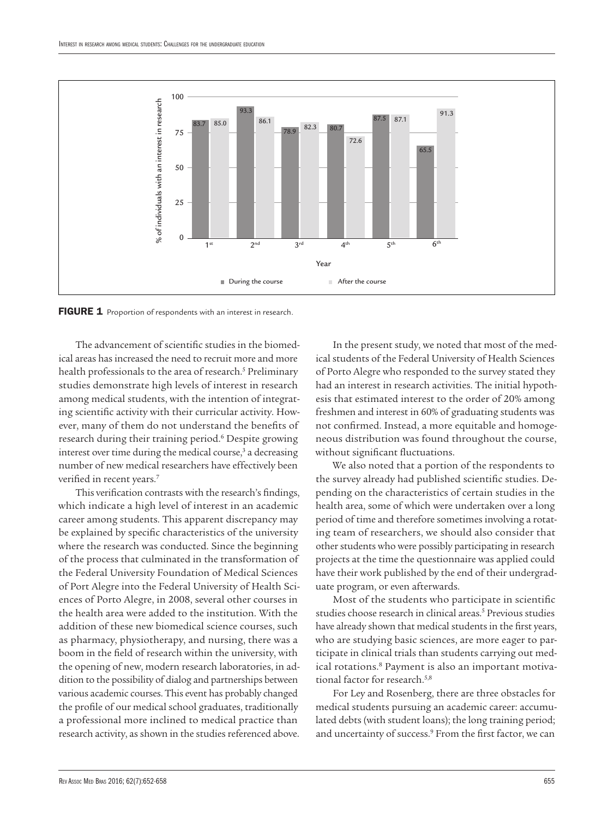

The advancement of scientific studies in the biomedical areas has increased the need to recruit more and more health professionals to the area of research.<sup>5</sup> Preliminary studies demonstrate high levels of interest in research among medical students, with the intention of integrating scientific activity with their curricular activity. However, many of them do not understand the benefits of research during their training period.6 Despite growing interest over time during the medical course, $3$  a decreasing number of new medical researchers have effectively been verified in recent years.<sup>7</sup>

This verification contrasts with the research's findings, which indicate a high level of interest in an academic career among students. This apparent discrepancy may be explained by specific characteristics of the university where the research was conducted. Since the beginning of the process that culminated in the transformation of the Federal University Foundation of Medical Sciences of Port Alegre into the Federal University of Health Sciences of Porto Alegre, in 2008, several other courses in the health area were added to the institution. With the addition of these new biomedical science courses, such as pharmacy, physiotherapy, and nursing, there was a boom in the field of research within the university, with the opening of new, modern research laboratories, in addition to the possibility of dialog and partnerships between various academic courses. This event has probably changed the profile of our medical school graduates, traditionally a professional more inclined to medical practice than research activity, as shown in the studies referenced above.

In the present study, we noted that most of the medical students of the Federal University of Health Sciences of Porto Alegre who responded to the survey stated they had an interest in research activities. The initial hypothesis that estimated interest to the order of 20% among freshmen and interest in 60% of graduating students was not confirmed. Instead, a more equitable and homogeneous distribution was found throughout the course, without significant fluctuations.

We also noted that a portion of the respondents to the survey already had published scientific studies. Depending on the characteristics of certain studies in the health area, some of which were undertaken over a long period of time and therefore sometimes involving a rotating team of researchers, we should also consider that other students who were possibly participating in research projects at the time the questionnaire was applied could have their work published by the end of their undergraduate program, or even afterwards.

Most of the students who participate in scientific studies choose research in clinical areas.<sup>5</sup> Previous studies have already shown that medical students in the first years, who are studying basic sciences, are more eager to participate in clinical trials than students carrying out medical rotations.<sup>8</sup> Payment is also an important motivational factor for research.<sup>5,8</sup>

For Ley and Rosenberg, there are three obstacles for medical students pursuing an academic career: accumulated debts (with student loans); the long training period; and uncertainty of success.<sup>9</sup> From the first factor, we can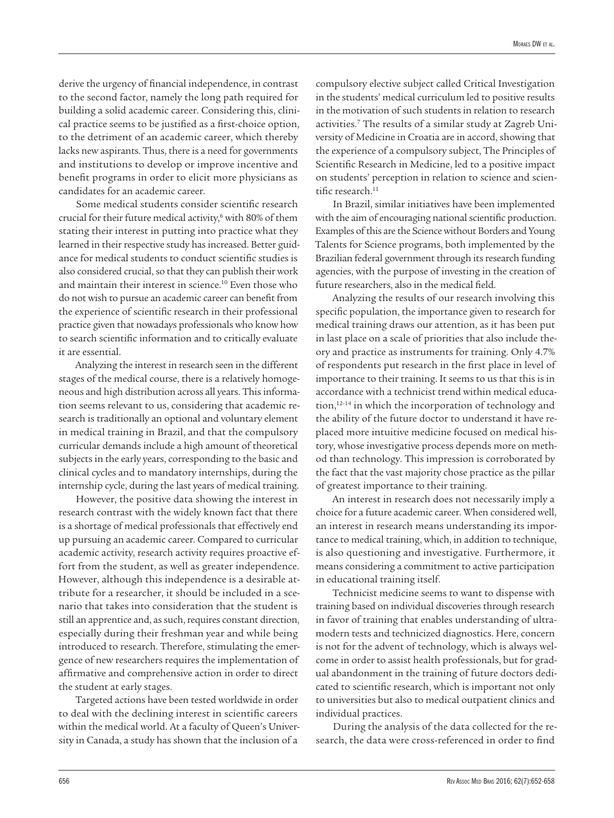derive the urgency of financial independence, in contrast to the second factor, namely the long path required for building a solid academic career. Considering this, clinical practice seems to be justified as a first-choice option, to the detriment of an academic career, which thereby lacks new aspirants. Thus, there is a need for governments and institutions to develop or improve incentive and benefit programs in order to elicit more physicians as candidates for an academic career.

Some medical students consider scientific research crucial for their future medical activity,<sup>6</sup> with 80% of them stating their interest in putting into practice what they learned in their respective study has increased. Better guidance for medical students to conduct scientific studies is also considered crucial, so that they can publish their work and maintain their interest in science.<sup>10</sup> Even those who do not wish to pursue an academic career can benefit from the experience of scientific research in their professional practice given that nowadays professionals who know how to search scientific information and to critically evaluate it are essential.

Analyzing the interest in research seen in the different stages of the medical course, there is a relatively homogeneous and high distribution across all years. This information seems relevant to us, considering that academic research is traditionally an optional and voluntary element in medical training in Brazil, and that the compulsory curricular demands include a high amount of theoretical subjects in the early years, corresponding to the basic and clinical cycles and to mandatory internships, during the internship cycle, during the last years of medical training.

However, the positive data showing the interest in research contrast with the widely known fact that there is a shortage of medical professionals that effectively end up pursuing an academic career. Compared to curricular academic activity, research activity requires proactive effort from the student, as well as greater independence. However, although this independence is a desirable attribute for a researcher, it should be included in a scenario that takes into consideration that the student is still an apprentice and, as such, requires constant direction, especially during their freshman year and while being introduced to research. Therefore, stimulating the emergence of new researchers requires the implementation of affirmative and comprehensive action in order to direct the student at early stages.

Targeted actions have been tested worldwide in order to deal with the declining interest in scientific careers within the medical world. At a faculty of Queen's University in Canada, a study has shown that the inclusion of a

compulsory elective subject called Critical Investigation in the students' medical curriculum led to positive results in the motivation of such students in relation to research activities.7 The results of a similar study at Zagreb University of Medicine in Croatia are in accord, showing that the experience of a compulsory subject, The Principles of Scientific Research in Medicine, led to a positive impact on students' perception in relation to science and scientific research.<sup>11</sup>

In Brazil, similar initiatives have been implemented with the aim of encouraging national scientific production. Examples of this are the Science without Borders and Young Talents for Science programs, both implemented by the Brazilian federal government through its research funding agencies, with the purpose of investing in the creation of future researchers, also in the medical field.

Analyzing the results of our research involving this specific population, the importance given to research for medical training draws our attention, as it has been put in last place on a scale of priorities that also include theory and practice as instruments for training. Only 4.7% of respondents put research in the first place in level of importance to their training. It seems to us that this is in accordance with a technicist trend within medical education,12-14 in which the incorporation of technology and the ability of the future doctor to understand it have replaced more intuitive medicine focused on medical history, whose investigative process depends more on method than technology. This impression is corroborated by the fact that the vast majority chose practice as the pillar of greatest importance to their training.

An interest in research does not necessarily imply a choice for a future academic career. When considered well, an interest in research means understanding its importance to medical training, which, in addition to technique, is also questioning and investigative. Furthermore, it means considering a commitment to active participation in educational training itself.

Technicist medicine seems to want to dispense with training based on individual discoveries through research in favor of training that enables understanding of ultramodern tests and technicized diagnostics. Here, concern is not for the advent of technology, which is always welcome in order to assist health professionals, but for gradual abandonment in the training of future doctors dedicated to scientific research, which is important not only to universities but also to medical outpatient clinics and individual practices.

During the analysis of the data collected for the research, the data were cross-referenced in order to find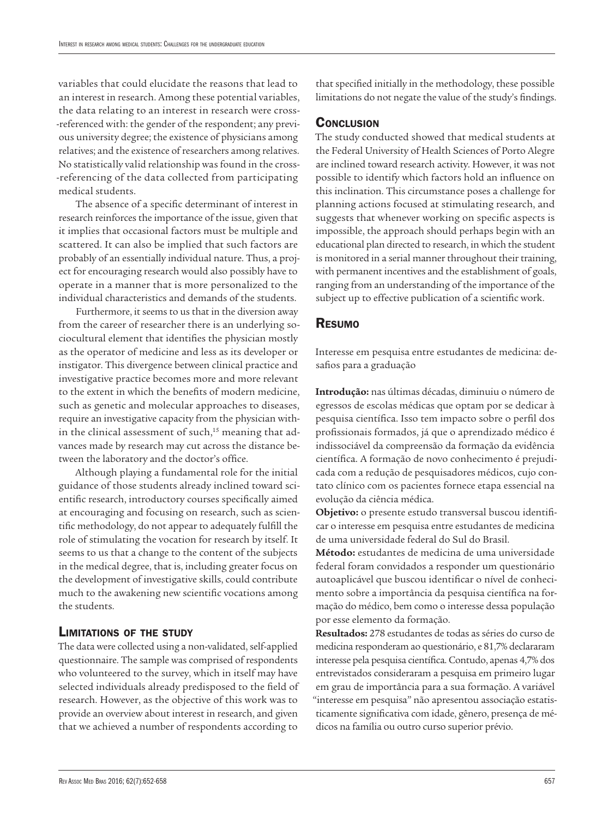variables that could elucidate the reasons that lead to an interest in research. Among these potential variables, the data relating to an interest in research were cross- -referenced with: the gender of the respondent; any previous university degree; the existence of physicians among relatives; and the existence of researchers among relatives. No statistically valid relationship was found in the cross- -referencing of the data collected from participating medical students.

The absence of a specific determinant of interest in research reinforces the importance of the issue, given that it implies that occasional factors must be multiple and scattered. It can also be implied that such factors are probably of an essentially individual nature. Thus, a project for encouraging research would also possibly have to operate in a manner that is more personalized to the individual characteristics and demands of the students.

Furthermore, it seems to us that in the diversion away from the career of researcher there is an underlying sociocultural element that identifies the physician mostly as the operator of medicine and less as its developer or instigator. This divergence between clinical practice and investigative practice becomes more and more relevant to the extent in which the benefits of modern medicine, such as genetic and molecular approaches to diseases, require an investigative capacity from the physician within the clinical assessment of such, $15$  meaning that advances made by research may cut across the distance between the laboratory and the doctor's office.

Although playing a fundamental role for the initial guidance of those students already inclined toward scientific research, introductory courses specifically aimed at encouraging and focusing on research, such as scientific methodology, do not appear to adequately fulfill the role of stimulating the vocation for research by itself. It seems to us that a change to the content of the subjects in the medical degree, that is, including greater focus on the development of investigative skills, could contribute much to the awakening new scientific vocations among the students.

### Limitations of the study

The data were collected using a non-validated, self-applied questionnaire. The sample was comprised of respondents who volunteered to the survey, which in itself may have selected individuals already predisposed to the field of research. However, as the objective of this work was to provide an overview about interest in research, and given that we achieved a number of respondents according to

that specified initially in the methodology, these possible limitations do not negate the value of the study's findings.

#### **CONCLUSION**

The study conducted showed that medical students at the Federal University of Health Sciences of Porto Alegre are inclined toward research activity. However, it was not possible to identify which factors hold an influence on this inclination. This circumstance poses a challenge for planning actions focused at stimulating research, and suggests that whenever working on specific aspects is impossible, the approach should perhaps begin with an educational plan directed to research, in which the student is monitored in a serial manner throughout their training, with permanent incentives and the establishment of goals, ranging from an understanding of the importance of the subject up to effective publication of a scientific work.

#### Resumo

Interesse em pesquisa entre estudantes de medicina: desafios para a graduação

**Introdução:** nas últimas décadas, diminuiu o número de egressos de escolas médicas que optam por se dedicar à pesquisa científica. Isso tem impacto sobre o perfil dos profissionais formados, já que o aprendizado médico é indissociável da compreensão da formação da evidência científica. A formação de novo conhecimento é prejudicada com a redução de pesquisadores médicos, cujo contato clínico com os pacientes fornece etapa essencial na evolução da ciência médica.

**Objetivo:** o presente estudo transversal buscou identificar o interesse em pesquisa entre estudantes de medicina de uma universidade federal do Sul do Brasil.

**Método:** estudantes de medicina de uma universidade federal foram convidados a responder um questionário autoaplicável que buscou identificar o nível de conhecimento sobre a importância da pesquisa científica na formação do médico, bem como o interesse dessa população por esse elemento da formação.

**Resultados:** 278 estudantes de todas as séries do curso de medicina responderam ao questionário, e 81,7% declararam interesse pela pesquisa científica. Contudo, apenas 4,7% dos entrevistados consideraram a pesquisa em primeiro lugar em grau de importância para a sua formação. A variável "interesse em pesquisa" não apresentou associação estatisticamente significativa com idade, gênero, presença de médicos na família ou outro curso superior prévio.